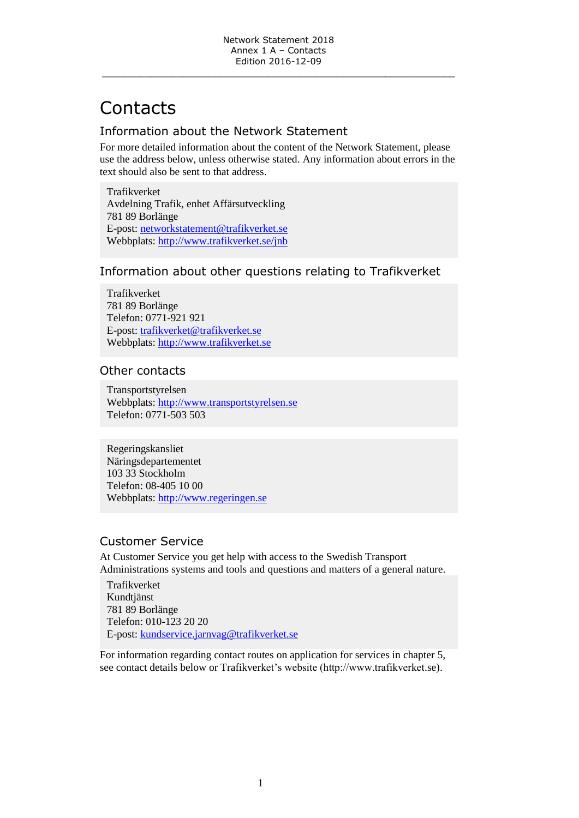# **Contacts**

## Information about the Network Statement

For more detailed information about the content of the Network Statement, please use the address below, unless otherwise stated. Any information about errors in the text should also be sent to that address.

Trafikverket Avdelning Trafik, enhet Affärsutveckling 781 89 Borlänge E-post: [networkstatement@trafikverket.se](mailto:networkstatement@trafikverket.se) Webbplats:<http://www.trafikverket.se/>jnb

#### Information about other questions relating to Trafikverket

Trafikverket 781 89 Borlänge Telefon: 0771-921 921 E-post: [trafikverket@trafikverket.se](mailto:trafikverket@trafikverket.se) Webbplats: [http://www.trafikverket.se](http://www.trafikverket.se/)

#### Other contacts

Transportstyrelsen Webbplats: [http://www.transportstyrelsen.se](http://www.transportstyrelsen.se/)  Telefon: 0771-503 503

Regeringskansliet Näringsdepartementet 103 33 Stockholm Telefon: 08-405 10 00 Webbplats: [http://www.regeringen.se](http://www.regeringen.se/)

#### Customer Service

At Customer Service you get help with access to the Swedish Transport Administrations systems and tools and questions and matters of a general nature.

Trafikverket Kundtjänst 781 89 Borlänge Telefon: 010-123 20 20 E-post: [kundservice.jarnvag@trafikverket.se](mailto:kundservice.jarnvag@trafikverket.se)

For information regarding contact routes on application for services in chapter 5, see contact details below or Trafikverket's website (http://www.trafikverket.se).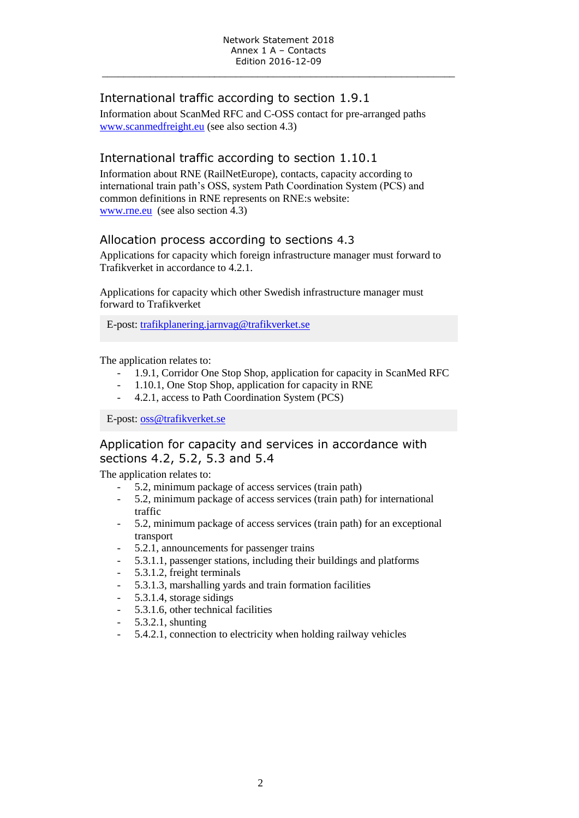## International traffic according to section 1.9.1

Information about ScanMed RFC and C-OSS contact for pre-arranged paths [www.scanmedfreight.eu](http://www.scanmedfreight.eu/) (see also section 4.3)

## International traffic according to section 1.10.1

Information about RNE (RailNetEurope), contacts, capacity according to international train path's OSS, system Path Coordination System (PCS) and common definitions in RNE represents on RNE:s website: [www.rne.eu](http://www.rne.eu/) (see also section 4.3)

#### Allocation process according to sections 4.3

Applications for capacity which foreign infrastructure manager must forward to Trafikverket in accordance to 4.2.1.

Applications for capacity which other Swedish infrastructure manager must forward to Trafikverket

E-post: [trafikplanering.jarnvag@trafikverket.se](mailto:trafikplanering.jarnvag@trafikverket.se)

The application relates to:

- 1.9.1, Corridor One Stop Shop, application for capacity in ScanMed RFC
- 1.10.1, One Stop Shop, application for capacity in RNE
- 4.2.1, access to Path Coordination System (PCS)

E-post: [oss@trafikverket.se](mailto:oss@trafikverket.se)

## Application for capacity and services in accordance with sections 4.2, 5.2, 5.3 and 5.4

The application relates to:

- 5.2, minimum package of access services (train path)
- 5.2, minimum package of access services (train path) for international traffic
- 5.2, minimum package of access services (train path) for an exceptional transport
- 5.2.1, announcements for passenger trains
- 5.3.1.1, passenger stations, including their buildings and platforms
- 5.3.1.2, freight terminals
- 5.3.1.3, marshalling yards and train formation facilities
- 5.3.1.4, storage sidings
- 5.3.1.6, other technical facilities
- 5.3.2.1, shunting
- 5.4.2.1, connection to electricity when holding railway vehicles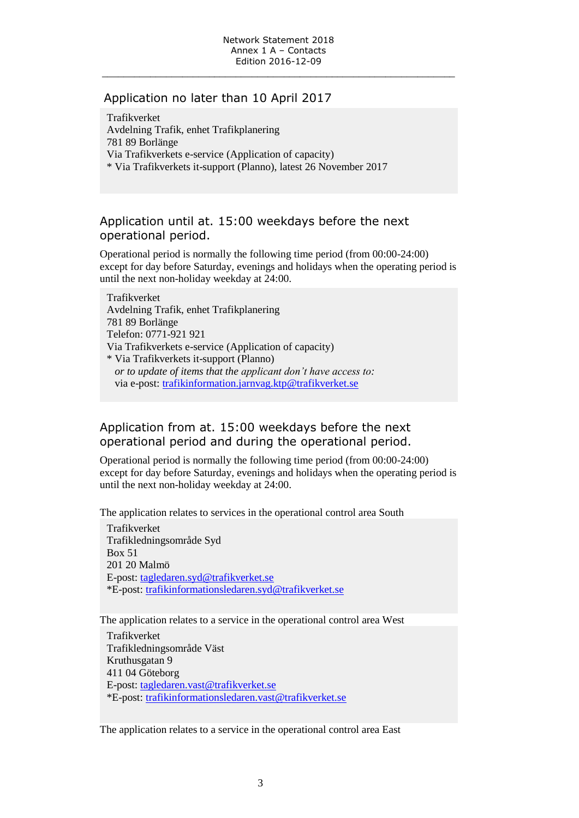#### Application no later than 10 April 2017

Trafikverket Avdelning Trafik, enhet Trafikplanering 781 89 Borlänge Via Trafikverkets e-service (Application of capacity) \* Via Trafikverkets it-support (Planno), latest 26 November 2017

## Application until at. 15:00 weekdays before the next operational period.

Operational period is normally the following time period (from 00:00-24:00) except for day before Saturday, evenings and holidays when the operating period is until the next non-holiday weekday at 24:00.

Trafikverket Avdelning Trafik, enhet Trafikplanering 781 89 Borlänge Telefon: 0771-921 921 Via Trafikverkets e-service (Application of capacity) \* Via Trafikverkets it-support (Planno) *or to update of items that the applicant don't have access to:* via e-post: [trafikinformation.jarnvag.ktp@trafikverket.se](mailto:trafikinformation.jarnvag.ktp@trafikverket.se)

## Application from at. 15:00 weekdays before the next operational period and during the operational period.

Operational period is normally the following time period (from 00:00-24:00) except for day before Saturday, evenings and holidays when the operating period is until the next non-holiday weekday at 24:00.

The application relates to services in the operational control area South

Trafikverket Trafikledningsområde Syd Box 51 201 20 Malmö E-post: [tagledaren.syd@trafikverket.se](mailto:tagledaren.syd@trafikverket.se) \*E-post: [trafikinformationsledaren.syd@trafikverket.se](mailto:trafikinformationsledaren.syd@trafikverket.se)

The application relates to a service in the operational control area West

Trafikverket Trafikledningsområde Väst Kruthusgatan 9 411 04 Göteborg E-post: [tagledaren.vast@trafikverket.se](mailto:tagledaren.vast@trafikverket.se) \*E-post: [trafikinformationsledaren.vast@trafikverket.se](mailto:trafikinformationsledaren.vast@trafikverket.se)

The application relates to a service in the operational control area East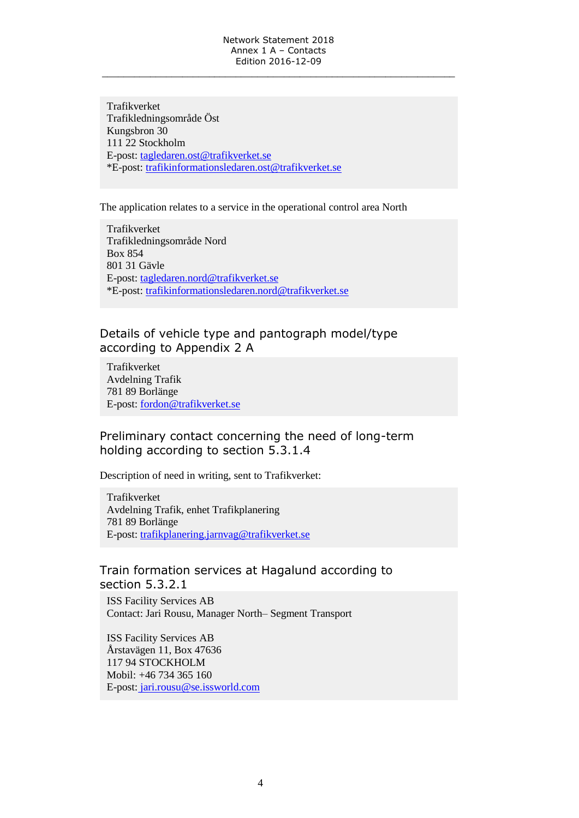Trafikverket Trafikledningsområde Öst Kungsbron 30 111 22 Stockholm E-post: [tagledaren.ost@trafikverket.se](mailto:tagledaren.ost@trafikverket.se) \*E-post: [trafikinformationsledaren.ost@trafikverket.se](mailto:trafikinformationsledaren.ost@trafikverket.se)

The application relates to a service in the operational control area North

Trafikverket Trafikledningsområde Nord Box 854 801 31 Gävle E-post: [tagledaren.nord@trafikverket.se](mailto:tagledaren.nord@trafikverket.se) \*E-post: [trafikinformationsledaren.nord@trafikverket.se](mailto:trafikinformationsledaren.nord@trafikverket.se)

#### Details of vehicle type and pantograph model/type according to Appendix 2 A

Trafikverket Avdelning Trafik 781 89 Borlänge E-post: [fordon@trafikverket.se](mailto:fordon.jarnvag@trafikverket.se)

## Preliminary contact concerning the need of long-term holding according to section 5.3.1.4

Description of need in writing, sent to Trafikverket:

Trafikverket Avdelning Trafik, enhet Trafikplanering 781 89 Borlänge E-post: [trafikplanering.jarnvag@trafikverket.se](mailto:trafikplanering.jarnvag@trafikverket.se)

#### Train formation services at Hagalund according to section 5.3.2.1

ISS Facility Services AB Contact: Jari Rousu, Manager North– Segment Transport

ISS Facility Services AB Årstavägen 11, Box 47636 117 94 STOCKHOLM Mobil: +46 734 365 160 E-post: jari.rousu@se.issworld.com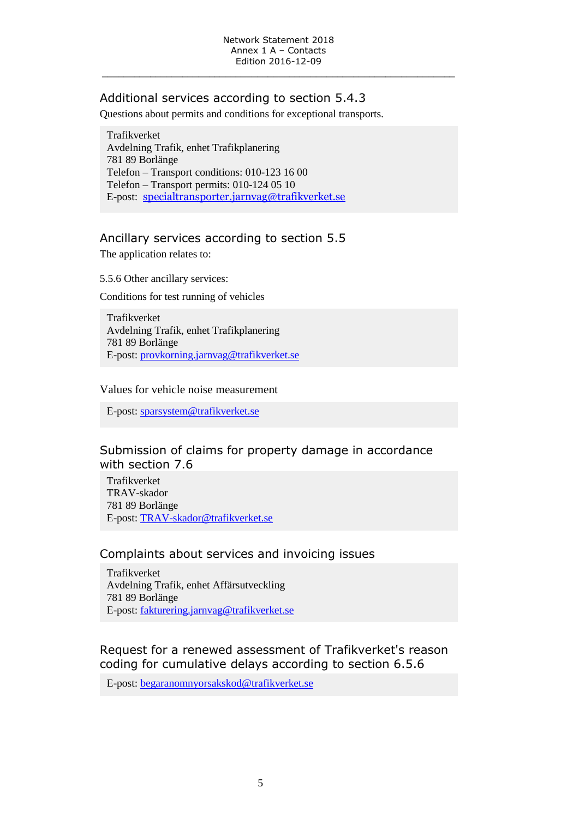## Additional services according to section 5.4.3

Questions about permits and conditions for exceptional transports.

Trafikverket Avdelning Trafik, enhet Trafikplanering 781 89 Borlänge Telefon – Transport conditions: 010-123 16 00 Telefon – Transport permits: 010-124 05 10 E-post: [specialtransporter.jarnvag@trafikverket.se](mailto:specialtransporter.jarnvag@trafikverket.se)

# Ancillary services according to section 5.5

The application relates to:

5.5.6 Other ancillary services:

Conditions for test running of vehicles

Trafikverket Avdelning Trafik, enhet Trafikplanering 781 89 Borlänge E-post: [provkorning.jarnvag@trafikverket.se](mailto:provkorning.jarnvag@trafikverket.se)

#### Values for vehicle noise measurement

E-post: [sparsystem@trafikverket.se](mailto:sparsystem@trafikverket.se)

## Submission of claims for property damage in accordance with section 7.6

Trafikverket TRAV-skador 781 89 Borlänge E-post: [TRAV-skador@trafikverket.se](mailto:TRAV-skador@trafikverket.se)

## Complaints about services and invoicing issues

Trafikverket Avdelning Trafik, enhet Affärsutveckling 781 89 Borlänge E-post: [fakturering.jarnvag@trafikverket.se](mailto:fakturering.jarnvag@trafikverket.se)

## Request for a renewed assessment of Trafikverket's reason coding for cumulative delays according to section 6.5.6

E-post: [begaranomnyorsakskod@trafikverket.se](mailto:begaranomnyorsakskod@trafikverket.se)